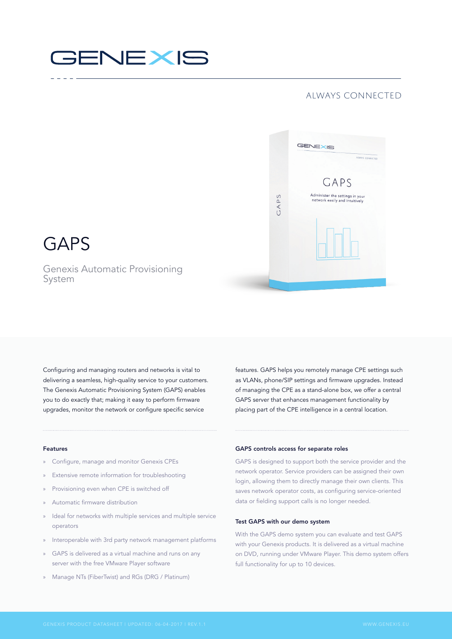# **GENEXIS**

### always connected



## GAPS

Genexis Automatic Provisioning System

Configuring and managing routers and networks is vital to delivering a seamless, high-quality service to your customers. The Genexis Automatic Provisioning System (GAPS) enables you to do exactly that; making it easy to perform firmware upgrades, monitor the network or configure specific service

features. GAPS helps you remotely manage CPE settings such as VLANs, phone/SIP settings and firmware upgrades. Instead of managing the CPE as a stand-alone box, we offer a central GAPS server that enhances management functionality by placing part of the CPE intelligence in a central location.

### Features

- » Configure, manage and monitor Genexis CPEs
- » Extensive remote information for troubleshooting
- » Provisioning even when CPE is switched off
- » Automatic firmware distribution
- » Ideal for networks with multiple services and multiple service operators
- » Interoperable with 3rd party network management platforms
- GAPS is delivered as a virtual machine and runs on any server with the free VMware Player software
- » Manage NTs (FiberTwist) and RGs (DRG / Platinum)

### GAPS controls access for separate roles

GAPS is designed to support both the service provider and the network operator. Service providers can be assigned their own login, allowing them to directly manage their own clients. This saves network operator costs, as configuring service-oriented data or fielding support calls is no longer needed.

### Test GAPS with our demo system

With the GAPS demo system you can evaluate and test GAPS with your Genexis products. It is delivered as a virtual machine on DVD, running under VMware Player. This demo system offers full functionality for up to 10 devices.